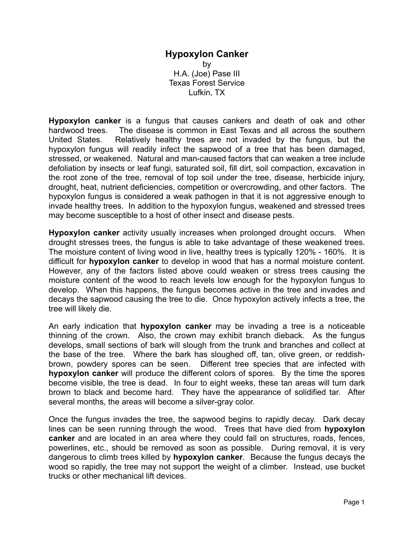## **Hypoxylon Canker** by H.A. (Joe) Pase III Texas Forest Service Lufkin, TX

**Hypoxylon canker** is a fungus that causes cankers and death of oak and other hardwood trees. The disease is common in East Texas and all across the southern United States. Relatively healthy trees are not invaded by the fungus, but the hypoxylon fungus will readily infect the sapwood of a tree that has been damaged, stressed, or weakened. Natural and man-caused factors that can weaken a tree include defoliation by insects or leaf fungi, saturated soil, fill dirt, soil compaction, excavation in the root zone of the tree, removal of top soil under the tree, disease, herbicide injury, drought, heat, nutrient deficiencies, competition or overcrowding, and other factors. The hypoxylon fungus is considered a weak pathogen in that it is not aggressive enough to invade healthy trees. In addition to the hypoxylon fungus, weakened and stressed trees may become susceptible to a host of other insect and disease pests.

**Hypoxylon canker** activity usually increases when prolonged drought occurs. When drought stresses trees, the fungus is able to take advantage of these weakened trees. The moisture content of living wood in live, healthy trees is typically 120% - 160%. It is difficult for **hypoxylon canker** to develop in wood that has a normal moisture content. However, any of the factors listed above could weaken or stress trees causing the moisture content of the wood to reach levels low enough for the hypoxylon fungus to develop. When this happens, the fungus becomes active in the tree and invades and decays the sapwood causing the tree to die. Once hypoxylon actively infects a tree, the tree will likely die.

An early indication that **hypoxylon canker** may be invading a tree is a noticeable thinning of the crown. Also, the crown may exhibit branch dieback. As the fungus develops, small sections of bark will slough from the trunk and branches and collect at the base of the tree. Where the bark has sloughed off, tan, olive green, or reddishbrown, powdery spores can be seen. Different tree species that are infected with **hypoxylon canker** will produce the different colors of spores. By the time the spores become visible, the tree is dead. In four to eight weeks, these tan areas will turn dark brown to black and become hard. They have the appearance of solidified tar. After several months, the areas will become a silver-gray color.

Once the fungus invades the tree, the sapwood begins to rapidly decay. Dark decay lines can be seen running through the wood. Trees that have died from **hypoxylon canker** and are located in an area where they could fall on structures, roads, fences, powerlines, etc., should be removed as soon as possible. During removal, it is very dangerous to climb trees killed by **hypoxylon canker**. Because the fungus decays the wood so rapidly, the tree may not support the weight of a climber. Instead, use bucket trucks or other mechanical lift devices.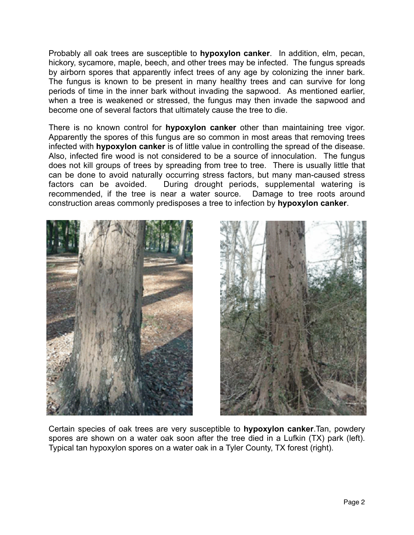Probably all oak trees are susceptible to **hypoxylon canker**. In addition, elm, pecan, hickory, sycamore, maple, beech, and other trees may be infected. The fungus spreads by airborn spores that apparently infect trees of any age by colonizing the inner bark. The fungus is known to be present in many healthy trees and can survive for long periods of time in the inner bark without invading the sapwood. As mentioned earlier, when a tree is weakened or stressed, the fungus may then invade the sapwood and become one of several factors that ultimately cause the tree to die.

There is no known control for **hypoxylon canker** other than maintaining tree vigor. Apparently the spores of this fungus are so common in most areas that removing trees infected with **hypoxylon canker** is of little value in controlling the spread of the disease. Also, infected fire wood is not considered to be a source of innoculation. The fungus does not kill groups of trees by spreading from tree to tree. There is usually little that can be done to avoid naturally occurring stress factors, but many man-caused stress factors can be avoided. During drought periods, supplemental watering is recommended, if the tree is near a water source. Damage to tree roots around construction areas commonly predisposes a tree to infection by **hypoxylon canker**.





Certain species of oak trees are very susceptible to **hypoxylon canker**.Tan, powdery spores are shown on a water oak soon after the tree died in a Lufkin (TX) park (left). Typical tan hypoxylon spores on a water oak in a Tyler County, TX forest (right).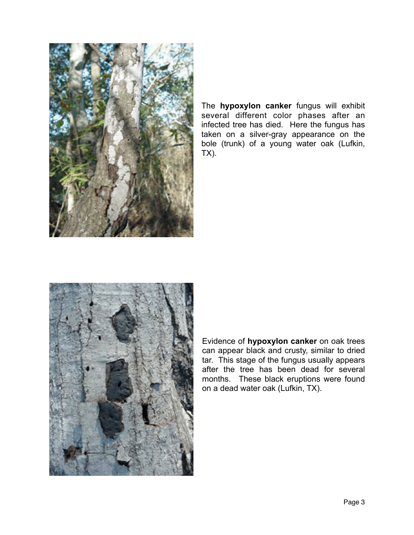

The **hypoxylon canker** fungus will exhibit several different color phases after an infected tree has died. Here the fungus has taken on a silver-gray appearance on the bole (trunk) of a young water oak (Lufkin, TX).



Evidence of **hypoxylon canker** on oak trees can appear black and crusty, similar to dried tar. This stage of the fungus usually appears after the tree has been dead for several months. These black eruptions were found on a dead water oak (Lufkin, TX).